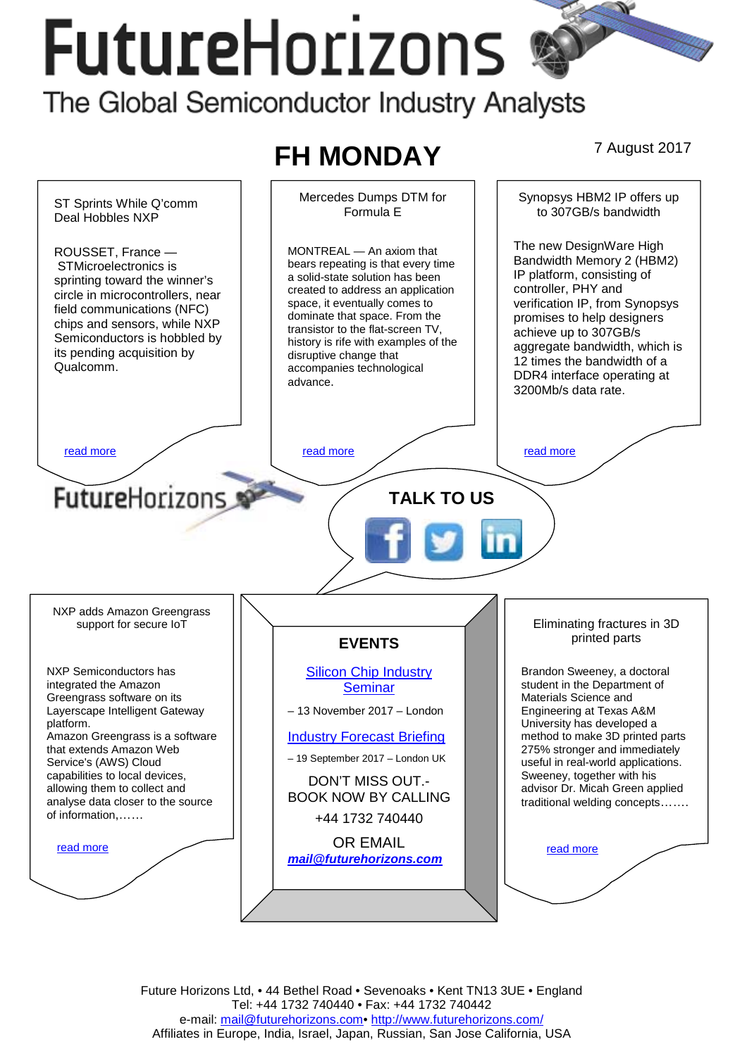# FutureHorizons The Global Semiconductor Industry Analysts



Future Horizons Ltd, • 44 Bethel Road • Sevenoaks • Kent TN13 3UE • England Tel: +44 1732 740440 • Fax: +44 1732 740442 e-mail: mail@futurehorizons.com• http://www.futurehorizons.com/ Affiliates in Europe, India, Israel, Japan, Russian, San Jose California, USA